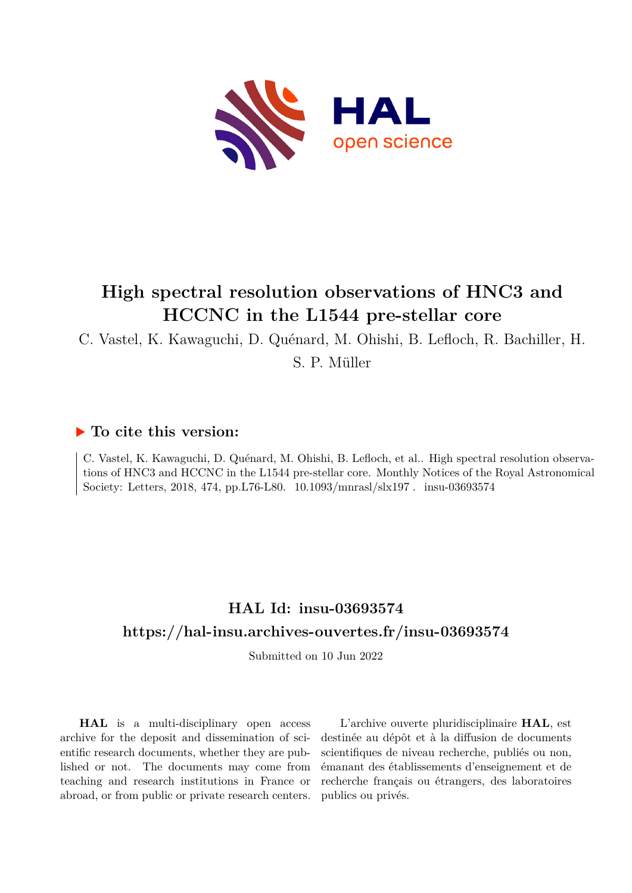

# **High spectral resolution observations of HNC3 and HCCNC in the L1544 pre-stellar core**

C. Vastel, K. Kawaguchi, D. Quénard, M. Ohishi, B. Lefloch, R. Bachiller, H.

S. P. Müller

### **To cite this version:**

C. Vastel, K. Kawaguchi, D. Quénard, M. Ohishi, B. Lefloch, et al.. High spectral resolution observations of HNC3 and HCCNC in the L1544 pre-stellar core. Monthly Notices of the Royal Astronomical Society: Letters, 2018, 474, pp.L76-L80.  $10.1093/\text{mnrasl/slx197}$ . insu-03693574

## **HAL Id: insu-03693574 <https://hal-insu.archives-ouvertes.fr/insu-03693574>**

Submitted on 10 Jun 2022

**HAL** is a multi-disciplinary open access archive for the deposit and dissemination of scientific research documents, whether they are published or not. The documents may come from teaching and research institutions in France or abroad, or from public or private research centers.

L'archive ouverte pluridisciplinaire **HAL**, est destinée au dépôt et à la diffusion de documents scientifiques de niveau recherche, publiés ou non, émanant des établissements d'enseignement et de recherche français ou étrangers, des laboratoires publics ou privés.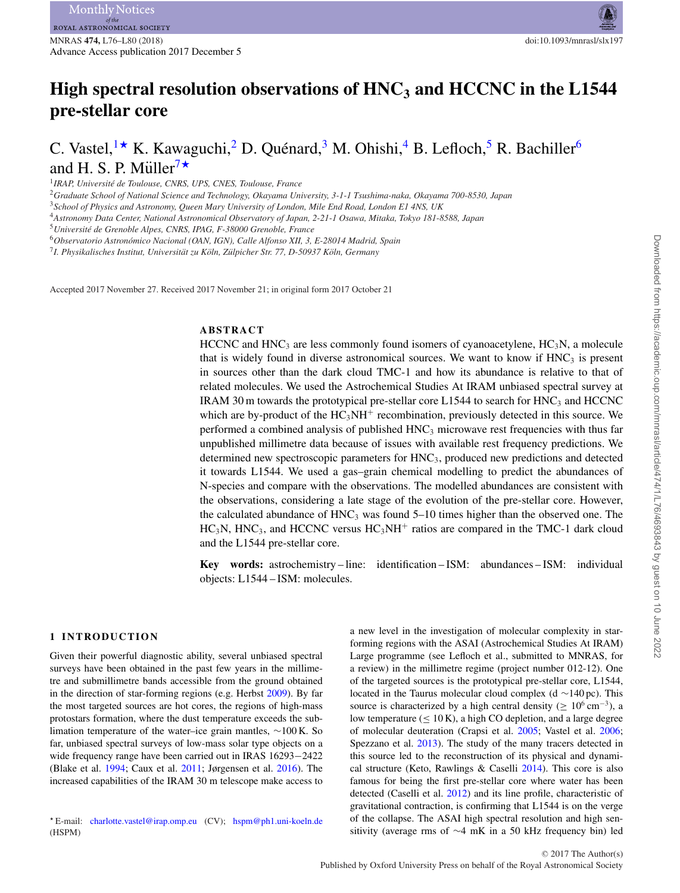## High spectral resolution observations of HNC<sub>3</sub> and HCCNC in the L1544 **pre-stellar core**

### C. Vastel,  $\mathbf{K}$ . Kawaguchi, <sup>2</sup> D. Quénard, <sup>3</sup> M. Ohishi, <sup>4</sup> B. Lefloch, <sup>5</sup> R. Bachiller<sup>6</sup> and H. S. P. Müller<sup>7\*</sup>

<sup>1</sup>*IRAP, Universite de Toulouse, CNRS, UPS, CNES, Toulouse, France ´*

<sup>2</sup>*Graduate School of National Science and Technology, Okayama University, 3-1-1 Tsushima-naka, Okayama 700-8530, Japan*

<sup>3</sup>*School of Physics and Astronomy, Queen Mary University of London, Mile End Road, London E1 4NS, UK*

<sup>4</sup>*Astronomy Data Center, National Astronomical Observatory of Japan, 2-21-1 Osawa, Mitaka, Tokyo 181-8588, Japan*

<sup>5</sup>*Universite de Grenoble Alpes, CNRS, IPAG, F-38000 Grenoble, France ´*

<sup>6</sup>*Observatorio Astronomico Nacional (OAN, IGN), Calle Alfonso XII, 3, E-28014 Madrid, Spain ´*

<sup>7</sup>*I. Physikalisches Institut, Universitat zu K ¨ oln, Z ¨ ulpicher Str. 77, D-50937 K ¨ oln, Germany ¨*

Accepted 2017 November 27. Received 2017 November 21; in original form 2017 October 21

#### **ABSTRACT**

HCCNC and HNC<sub>3</sub> are less commonly found isomers of cyanoacetylene,  $HC_3N$ , a molecule that is widely found in diverse astronomical sources. We want to know if  $HNC<sub>3</sub>$  is present in sources other than the dark cloud TMC-1 and how its abundance is relative to that of related molecules. We used the Astrochemical Studies At IRAM unbiased spectral survey at IRAM 30 m towards the prototypical pre-stellar core  $L1544$  to search for  $HNC<sub>3</sub>$  and  $HCCNC$ which are by-product of the  $HC<sub>3</sub>NH<sup>+</sup>$  recombination, previously detected in this source. We performed a combined analysis of published  $HNC<sub>3</sub>$  microwave rest frequencies with thus far unpublished millimetre data because of issues with available rest frequency predictions. We determined new spectroscopic parameters for  $HNC<sub>3</sub>$ , produced new predictions and detected it towards L1544. We used a gas–grain chemical modelling to predict the abundances of N-species and compare with the observations. The modelled abundances are consistent with the observations, considering a late stage of the evolution of the pre-stellar core. However, the calculated abundance of  $HNC_3$  was found 5–10 times higher than the observed one. The  $HC_3N$ , HNC<sub>3</sub>, and HCCNC versus  $HC_3NH^+$  ratios are compared in the TMC-1 dark cloud and the L1544 pre-stellar core.

**Key words:** astrochemistry – line: identification – ISM: abundances – ISM: individual objects: L1544 – ISM: molecules.

#### **1 INTRODUCTION**

Given their powerful diagnostic ability, several unbiased spectral surveys have been obtained in the past few years in the millimetre and submillimetre bands accessible from the ground obtained in the direction of star-forming regions (e.g. Herbst 2009). By far the most targeted sources are hot cores, the regions of high-mass protostars formation, where the dust temperature exceeds the sublimation temperature of the water–ice grain mantles, ∼100 K. So far, unbiased spectral surveys of low-mass solar type objects on a wide frequency range have been carried out in IRAS 16293−2422 (Blake et al. 1994; Caux et al. 2011; Jørgensen et al. 2016). The increased capabilities of the IRAM 30 m telescope make access to

- E-mail: [charlotte.vastel@irap.omp.eu](mailto:charlotte.vastel@irap.omp.eu) (CV); [hspm@ph1.uni-koeln.de](mailto:hspm@ph1.uni-koeln.de) (HSPM)

a new level in the investigation of molecular complexity in starforming regions with the ASAI (Astrochemical Studies At IRAM) Large programme (see Lefloch et al., submitted to MNRAS, for a review) in the millimetre regime (project number 012-12). One of the targeted sources is the prototypical pre-stellar core, L1544, located in the Taurus molecular cloud complex (d ∼140 pc). This source is characterized by a high central density ( $\geq 10^6$  cm<sup>-3</sup>), a low temperature ( $\leq 10$  K), a high CO depletion, and a large degree of molecular deuteration (Crapsi et al. 2005; Vastel et al. 2006; Spezzano et al. 2013). The study of the many tracers detected in this source led to the reconstruction of its physical and dynamical structure (Keto, Rawlings & Caselli 2014). This core is also famous for being the first pre-stellar core where water has been detected (Caselli et al. 2012) and its line profile, characteristic of gravitational contraction, is confirming that L1544 is on the verge of the collapse. The ASAI high spectral resolution and high sensitivity (average rms of ∼4 mK in a 50 kHz frequency bin) led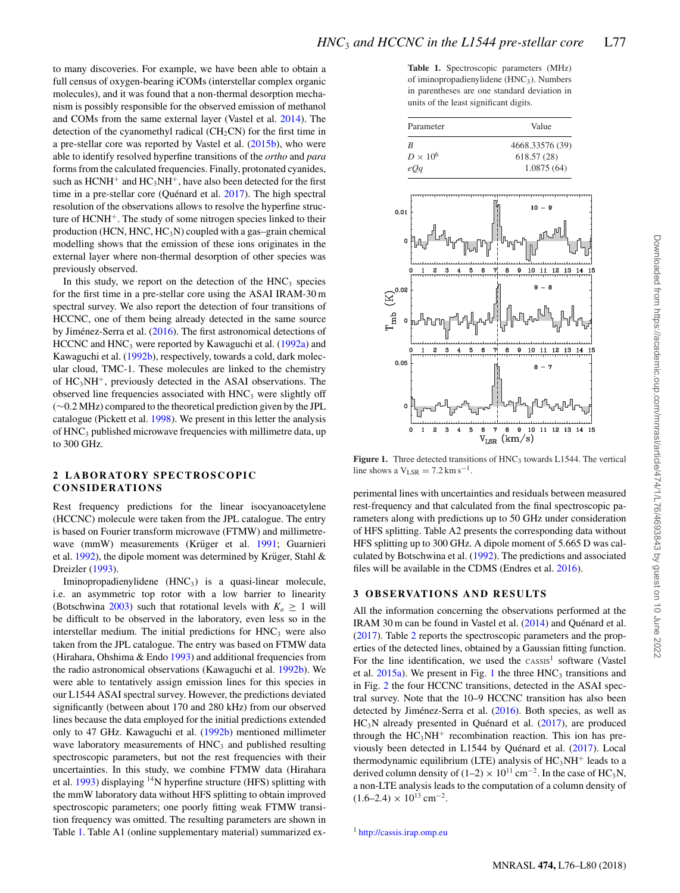to many discoveries. For example, we have been able to obtain a full census of oxygen-bearing iCOMs (interstellar complex organic molecules), and it was found that a non-thermal desorption mechanism is possibly responsible for the observed emission of methanol and COMs from the same external layer (Vastel et al. 2014). The detection of the cyanomethyl radical  $(CH_2CN)$  for the first time in a pre-stellar core was reported by Vastel et al. (2015b), who were able to identify resolved hyperfine transitions of the *ortho* and *para* forms from the calculated frequencies. Finally, protonated cyanides, such as  $HCNH^+$  and  $HC_3NH^+$ , have also been detected for the first time in a pre-stellar core (Quénard et al.  $2017$ ). The high spectral resolution of the observations allows to resolve the hyperfine structure of  $HCNH^+$ . The study of some nitrogen species linked to their production (HCN, HNC,  $HC_3N$ ) coupled with a gas–grain chemical modelling shows that the emission of these ions originates in the external layer where non-thermal desorption of other species was previously observed.

In this study, we report on the detection of the  $HNC<sub>3</sub>$  species for the first time in a pre-stellar core using the ASAI IRAM-30 m spectral survey. We also report the detection of four transitions of HCCNC, one of them being already detected in the same source by Jiménez-Serra et al. (2016). The first astronomical detections of HCCNC and  $HNC_3$  were reported by Kawaguchi et al. (1992a) and Kawaguchi et al. (1992b), respectively, towards a cold, dark molecular cloud, TMC-1. These molecules are linked to the chemistry of HC3NH+, previously detected in the ASAI observations. The observed line frequencies associated with  $HNC<sub>3</sub>$  were slightly off (∼0.2 MHz) compared to the theoretical prediction given by the JPL catalogue (Pickett et al. 1998). We present in this letter the analysis of HNC3 published microwave frequencies with millimetre data, up to 300 GHz.

#### **2 LABORATORY SPECTROSCOPIC CONSIDERATIONS**

Rest frequency predictions for the linear isocyanoacetylene (HCCNC) molecule were taken from the JPL catalogue. The entry is based on Fourier transform microwave (FTMW) and millimetrewave (mmW) measurements (Krüger et al. 1991; Guarnieri et al.  $1992$ ), the dipole moment was determined by Krüger, Stahl & Dreizler (1993).

Iminopropadienylidene (HNC3) is a quasi-linear molecule, i.e. an asymmetric top rotor with a low barrier to linearity (Botschwina 2003) such that rotational levels with  $K_a \geq 1$  will be difficult to be observed in the laboratory, even less so in the interstellar medium. The initial predictions for  $HNC<sub>3</sub>$  were also taken from the JPL catalogue. The entry was based on FTMW data (Hirahara, Ohshima & Endo 1993) and additional frequencies from the radio astronomical observations (Kawaguchi et al. 1992b). We were able to tentatively assign emission lines for this species in our L1544 ASAI spectral survey. However, the predictions deviated significantly (between about 170 and 280 kHz) from our observed lines because the data employed for the initial predictions extended only to 47 GHz. Kawaguchi et al. (1992b) mentioned millimeter wave laboratory measurements of  $HNC<sub>3</sub>$  and published resulting spectroscopic parameters, but not the rest frequencies with their uncertainties. In this study, we combine FTMW data (Hirahara et al.  $1993$ ) displaying <sup>14</sup>N hyperfine structure (HFS) splitting with the mmW laboratory data without HFS splitting to obtain improved spectroscopic parameters; one poorly fitting weak FTMW transition frequency was omitted. The resulting parameters are shown in Table 1. Table A1 (online supplementary material) summarized ex-

**Table 1.** Spectroscopic parameters (MHz) of iminopropadienylidene (HNC<sub>3</sub>). Numbers in parentheses are one standard deviation in units of the least significant digits.

| Parameter       | Value           |  |  |
|-----------------|-----------------|--|--|
| R               | 4668.33576 (39) |  |  |
| $D \times 10^6$ | 618.57 (28)     |  |  |
| eOa             | 1.0875(64)      |  |  |



Figure 1. Three detected transitions of HNC<sub>3</sub> towards L1544. The vertical line shows a  $V_{LSR} = 7.2 \text{ km s}^{-1}$ .

perimental lines with uncertainties and residuals between measured rest-frequency and that calculated from the final spectroscopic parameters along with predictions up to 50 GHz under consideration of HFS splitting. Table A2 presents the corresponding data without HFS splitting up to 300 GHz. A dipole moment of 5.665 D was calculated by Botschwina et al. (1992). The predictions and associated files will be available in the CDMS (Endres et al. 2016).

#### **3 OBSERVATIONS AND RESULTS**

All the information concerning the observations performed at the IRAM 30 m can be found in Vastel et al. (2014) and Quénard et al. (2017). Table 2 reports the spectroscopic parameters and the properties of the detected lines, obtained by a Gaussian fitting function. For the line identification, we used the  $\text{cassis}^1$  software (Vastel et al.  $2015a$ ). We present in Fig. 1 the three  $HNC<sub>3</sub>$  transitions and in Fig. 2 the four HCCNC transitions, detected in the ASAI spectral survey. Note that the 10–9 HCCNC transition has also been detected by Jiménez-Serra et al.  $(2016)$ . Both species, as well as  $HC<sub>3</sub>N$  already presented in Quénard et al. (2017), are produced through the  $HC<sub>3</sub>NH<sup>+</sup>$  recombination reaction. This ion has previously been detected in L1544 by Quénard et al. (2017). Local thermodynamic equilibrium (LTE) analysis of  $HC<sub>3</sub>NH<sup>+</sup>$  leads to a derived column density of (1–2) × 10<sup>11</sup> cm<sup>-2</sup>. In the case of HC<sub>3</sub>N, a non-LTE analysis leads to the computation of a column density of  $(1.6-2.4) \times 10^{13}$  cm<sup>-2</sup>.

<sup>1</sup> <http://cassis.irap.omp.eu>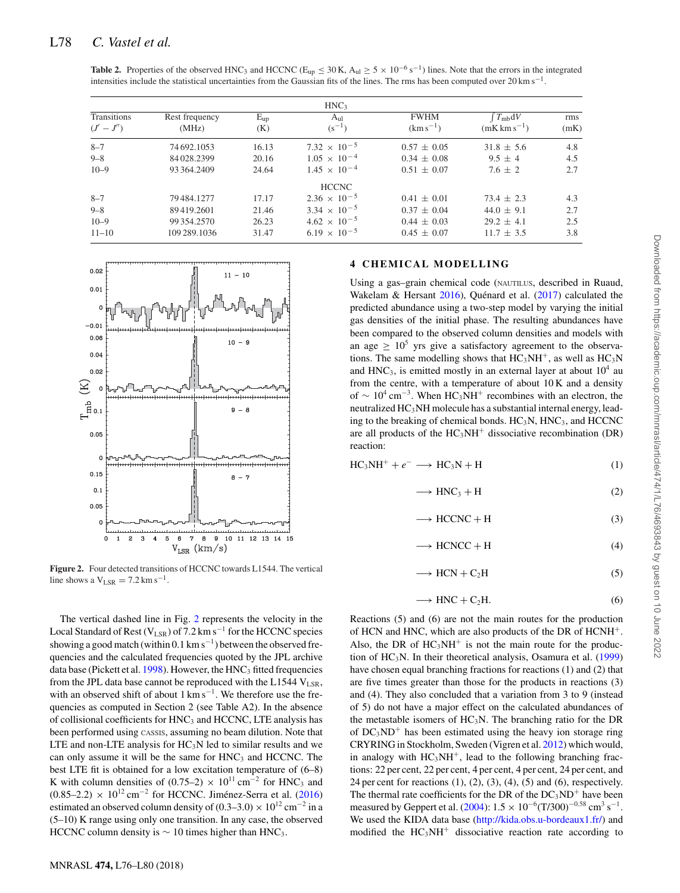| <b>Table 2.</b> Properties of the observed HNC <sub>3</sub> and HCCNC ( $E_{up} \le 30$ K, $A_{ul} \ge 5 \times 10^{-6}$ s <sup>-1</sup> ) lines. Note that the errors in the integrated |  |  |
|------------------------------------------------------------------------------------------------------------------------------------------------------------------------------------------|--|--|
| intensities include the statistical uncertainties from the Gaussian fits of the lines. The rms has been computed over 20 km s <sup>-1</sup> .                                            |  |  |

|                             |                         |                 | HNC <sub>3</sub>               |                              |                                          |             |
|-----------------------------|-------------------------|-----------------|--------------------------------|------------------------------|------------------------------------------|-------------|
| Transitions<br>$(J' - J'')$ | Rest frequency<br>(MHz) | $E_{up}$<br>(K) | A <sub>ul</sub><br>$(s^{-1})$  | <b>FWHM</b><br>$(km s^{-1})$ | $T_{mb}dV$<br>$(mK \, \text{km s}^{-1})$ | rms<br>(mK) |
| $8 - 7$                     | 74 692.1053             | 16.13           | 7.32 $\times$ 10 <sup>-5</sup> | $0.57 \pm 0.05$              | $31.8 \pm 5.6$                           | 4.8         |
| $9 - 8$                     | 84 028,2399             | 20.16           | $1.05 \times 10^{-4}$          | $0.34 \pm 0.08$              | $9.5 + 4$                                | 4.5         |
| $10 - 9$                    | 93 364,2409             | 24.64           | $1.45 \times 10^{-4}$          | $0.51 \pm 0.07$              | $7.6 \pm 2$                              | 2.7         |
|                             |                         |                 | <b>HCCNC</b>                   |                              |                                          |             |
| $8 - 7$                     | 79 484, 1277            | 17.17           | $2.36 \times 10^{-5}$          | $0.41 \pm 0.01$              | $73.4 \pm 2.3$                           | 4.3         |
| $9 - 8$                     | 89419.2601              | 21.46           | $3.34 \times 10^{-5}$          | $0.37 \pm 0.04$              | $44.0 \pm 9.1$                           | 2.7         |
| $10 - 9$                    | 99 354 2570             | 26.23           | $4.62 \times 10^{-5}$          | $0.44 \pm 0.03$              | $29.2 + 4.1$                             | 2.5         |
| $11 - 10$                   | 109 289.1036            | 31.47           | $6.19 \times 10^{-5}$          | $0.45 \pm 0.07$              | $11.7 \pm 3.5$                           | 3.8         |



**Figure 2.** Four detected transitions of HCCNC towards L1544. The vertical line shows a  $V_{LSR} = 7.2 \text{ km s}^{-1}$ .

The vertical dashed line in Fig. 2 represents the velocity in the Local Standard of Rest (V<sub>LSR</sub>) of 7.2 km s<sup>-1</sup> for the HCCNC species showing a good match (within 0.1 km s<sup>-1</sup>) between the observed frequencies and the calculated frequencies quoted by the JPL archive data base (Pickett et al.  $1998$ ). However, the HNC<sub>3</sub> fitted frequencies from the JPL data base cannot be reproduced with the L1544  $V_{LSR}$ , with an observed shift of about  $1 \text{ km s}^{-1}$ . We therefore use the frequencies as computed in Section 2 (see Table A2). In the absence of collisional coefficients for  $HNC<sub>3</sub>$  and  $HCCNC$ , LTE analysis has been performed using CASSIS, assuming no beam dilution. Note that LTE and non-LTE analysis for  $HC<sub>3</sub>N$  led to similar results and we can only assume it will be the same for  $HNC<sub>3</sub>$  and  $HCCNC$ . The best LTE fit is obtained for a low excitation temperature of (6–8) K with column densities of (0.75–2) ×  $10^{11}$  cm<sup>-2</sup> for HNC<sub>3</sub> and  $(0.85-2.2) \times 10^{12}$  cm<sup>-2</sup> for HCCNC. Jiménez-Serra et al. (2016) estimated an observed column density of (0.3–3.0) ×  $10^{12}$  cm<sup>-2</sup> in a (5–10) K range using only one transition. In any case, the observed HCCNC column density is  $\sim 10$  times higher than HNC<sub>3</sub>.

#### **4 CHEMICAL MODELLING**

Using a gas–grain chemical code (NAUTILUS, described in Ruaud, Wakelam & Hersant  $2016$ ), Quénard et al. (2017) calculated the predicted abundance using a two-step model by varying the initial gas densities of the initial phase. The resulting abundances have been compared to the observed column densities and models with an age  $> 10^5$  yrs give a satisfactory agreement to the observations. The same modelling shows that  $HC_3NH^+$ , as well as  $HC_3N$ and  $HNC<sub>3</sub>$ , is emitted mostly in an external layer at about  $10<sup>4</sup>$  au from the centre, with a temperature of about 10 K and a density of  $\sim 10^4 \text{ cm}^{-3}$ . When HC<sub>3</sub>NH<sup>+</sup> recombines with an electron, the neutralized  $HC<sub>3</sub>NH$  molecule has a substantial internal energy, leading to the breaking of chemical bonds.  $HC_3N$ ,  $HNC_3$ , and  $HCCNC$ are all products of the  $HC_3NH^+$  dissociative recombination (DR) reaction:

 $HC<sub>3</sub>NH<sup>+</sup> + e<sup>-</sup> \longrightarrow HC<sub>3</sub>N + H$  (1)

$$
\longrightarrow \text{HNC}_3 + \text{H} \tag{2}
$$

$$
\longrightarrow \text{HCCNC} + \text{H} \tag{3}
$$

$$
\longrightarrow \text{HCNCC} + \text{H} \tag{4}
$$

$$
\longrightarrow \text{HCN} + \text{C}_2\text{H} \tag{5}
$$

$$
\longrightarrow \text{HNC} + \text{C}_2\text{H}.\tag{6}
$$

Reactions (5) and (6) are not the main routes for the production of HCN and HNC, which are also products of the DR of HCNH+. Also, the DR of  $HC_3NH^+$  is not the main route for the production of  $HC_3N$ . In their theoretical analysis, Osamura et al. (1999) have chosen equal branching fractions for reactions (1) and (2) that are five times greater than those for the products in reactions (3) and (4). They also concluded that a variation from 3 to 9 (instead of 5) do not have a major effect on the calculated abundances of the metastable isomers of  $HC<sub>3</sub>N$ . The branching ratio for the DR of  $DC_3ND^+$  has been estimated using the heavy ion storage ring CRYRING in Stockholm, Sweden (Vigren et al. 2012) which would, in analogy with  $HC_3NH^+$ , lead to the following branching fractions: 22 per cent, 22 per cent, 4 per cent, 4 per cent, 24 per cent, and 24 per cent for reactions  $(1)$ ,  $(2)$ ,  $(3)$ ,  $(4)$ ,  $(5)$  and  $(6)$ , respectively. The thermal rate coefficients for the DR of the  $DC_3ND^+$  have been measured by Geppert et al. (2004):  $1.5 \times 10^{-6}$ (T/300)<sup>-0.58</sup> cm<sup>3</sup> s<sup>-1</sup>. We used the KIDA data base [\(http://kida.obs.u-bordeaux1.fr/\)](http://kida.obs.u-bordeaux1.fr/) and modified the  $HC<sub>3</sub>NH<sup>+</sup>$  dissociative reaction rate according to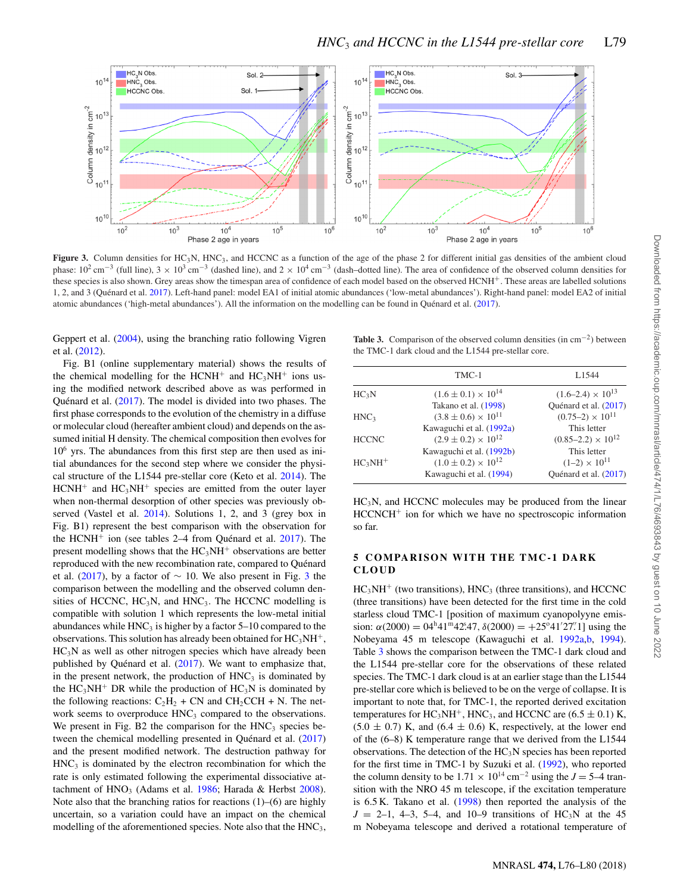

**Figure 3.** Column densities for HC<sub>3</sub>N, HNC<sub>3</sub>, and HCCNC as a function of the age of the phase 2 for different initial gas densities of the ambient cloud phase:  $10^2 \text{ cm}^{-3}$  (full line),  $3 \times 10^3 \text{ cm}^{-3}$  (dashed line), and  $2 \times 10^4 \text{ cm}^{-3}$  (dash–dotted line). The area of confidence of the observed column densities for these species is also shown. Grey areas show the timespan area of confidence of each model based on the observed HCNH<sup>+</sup>. These areas are labelled solutions 1, 2, and 3 (Quénard et al. 2017). Left-hand panel: model EA1 of initial atomic abundances ('low-metal abundances'). Right-hand panel: model EA2 of initial atomic abundances ('high-metal abundances'). All the information on the modelling can be found in Quénard et al. (2017).

Geppert et al. (2004), using the branching ratio following Vigren et al. (2012).

Fig. B1 (online supplementary material) shows the results of the chemical modelling for the HCNH<sup>+</sup> and  $HC<sub>3</sub>NH<sup>+</sup>$  ions using the modified network described above as was performed in Quénard et al.  $(2017)$ . The model is divided into two phases. The first phase corresponds to the evolution of the chemistry in a diffuse or molecular cloud (hereafter ambient cloud) and depends on the assumed initial H density. The chemical composition then evolves for  $10<sup>6</sup>$  yrs. The abundances from this first step are then used as initial abundances for the second step where we consider the physical structure of the L1544 pre-stellar core (Keto et al. 2014). The  $HCNH<sup>+</sup>$  and  $HC<sub>3</sub>NH<sup>+</sup>$  species are emitted from the outer layer when non-thermal desorption of other species was previously observed (Vastel et al. 2014). Solutions 1, 2, and 3 (grey box in Fig. B1) represent the best comparison with the observation for the HCNH<sup>+</sup> ion (see tables 2–4 from Quénard et al.  $2017$ ). The present modelling shows that the  $HC<sub>3</sub>NH<sup>+</sup>$  observations are better reproduced with the new recombination rate, compared to Quénard et al. (2017), by a factor of  $\sim$  10. We also present in Fig. 3 the comparison between the modelling and the observed column densities of HCCNC,  $HC_3N$ , and  $HNC_3$ . The HCCNC modelling is compatible with solution 1 which represents the low-metal initial abundances while  $HNC<sub>3</sub>$  is higher by a factor 5–10 compared to the observations. This solution has already been obtained for  $HC_3NH^+$ ,  $HC<sub>3</sub>N$  as well as other nitrogen species which have already been published by Quénard et al.  $(2017)$ . We want to emphasize that, in the present network, the production of  $HNC<sub>3</sub>$  is dominated by the  $HC_3NH^+$  DR while the production of  $HC_3N$  is dominated by the following reactions:  $C_2H_2 + CN$  and  $CH_2CCH + N$ . The network seems to overproduce  $HNC<sub>3</sub>$  compared to the observations. We present in Fig. B2 the comparison for the  $HNC<sub>3</sub>$  species between the chemical modelling presented in Quénard et al.  $(2017)$ and the present modified network. The destruction pathway for  $HNC<sub>3</sub>$  is dominated by the electron recombination for which the rate is only estimated following the experimental dissociative attachment of  $HNO<sub>3</sub>$  (Adams et al. 1986; Harada & Herbst 2008). Note also that the branching ratios for reactions (1)–(6) are highly uncertain, so a variation could have an impact on the chemical modelling of the aforementioned species. Note also that the HNC<sub>3</sub>,

**Table 3.** Comparison of the observed column densities (in cm−2) between the TMC-1 dark cloud and the L1544 pre-stellar core.

|                   | TMC-1                                                                                 | L <sub>1544</sub>                                              |
|-------------------|---------------------------------------------------------------------------------------|----------------------------------------------------------------|
| HC <sub>3</sub> N | $(1.6 \pm 0.1) \times 10^{14}$<br>Takano et al. (1998)                                | $(1.6-2.4) \times 10^{13}$<br>Ouénard et al. (2017)            |
| HNC <sub>3</sub>  | $(3.8 \pm 0.6) \times 10^{11}$                                                        | $(0.75-2) \times 10^{11}$                                      |
| <b>HCCNC</b>      | Kawaguchi et al. (1992a)<br>$(2.9 \pm 0.2) \times 10^{12}$                            | This letter<br>$(0.85-2.2) \times 10^{12}$                     |
| $HC3NH+$          | Kawaguchi et al. (1992b)<br>$(1.0 \pm 0.2) \times 10^{12}$<br>Kawaguchi et al. (1994) | This letter<br>$(1-2) \times 10^{11}$<br>Ouénard et al. (2017) |

 $HC<sub>3</sub>N$ , and HCCNC molecules may be produced from the linear HCCNCH<sup>+</sup> ion for which we have no spectroscopic information so far.

#### **5 COMPARISON WITH THE TMC-1 DARK CLOUD**

 $HC<sub>3</sub>NH<sup>+</sup>$  (two transitions), HNC<sub>3</sub> (three transitions), and HCCNC (three transitions) have been detected for the first time in the cold starless cloud TMC-1 [position of maximum cyanopolyyne emission:  $\alpha(2000) = 04^h 41^m 42.47$ ,  $\delta(2000) = +25^o 41' 27'$ . I using the Nobeyama 45 m telescope (Kawaguchi et al. 1992a,b, 1994). Table 3 shows the comparison between the TMC-1 dark cloud and the L1544 pre-stellar core for the observations of these related species. The TMC-1 dark cloud is at an earlier stage than the L1544 pre-stellar core which is believed to be on the verge of collapse. It is important to note that, for TMC-1, the reported derived excitation temperatures for  $HC_3NH^+$ ,  $HNC_3$ , and HCCNC are (6.5  $\pm$  0.1) K,  $(5.0 \pm 0.7)$  K, and  $(6.4 \pm 0.6)$  K, respectively, at the lower end of the (6–8) K temperature range that we derived from the L1544 observations. The detection of the HC3N species has been reported for the first time in TMC-1 by Suzuki et al. (1992), who reported the column density to be  $1.71 \times 10^{14}$  cm<sup>-2</sup> using the *J* = 5–4 transition with the NRO 45 m telescope, if the excitation temperature is 6.5 K. Takano et al. (1998) then reported the analysis of the  $J = 2-1, 4-3, 5-4,$  and 10-9 transitions of HC<sub>3</sub>N at the 45 m Nobeyama telescope and derived a rotational temperature of